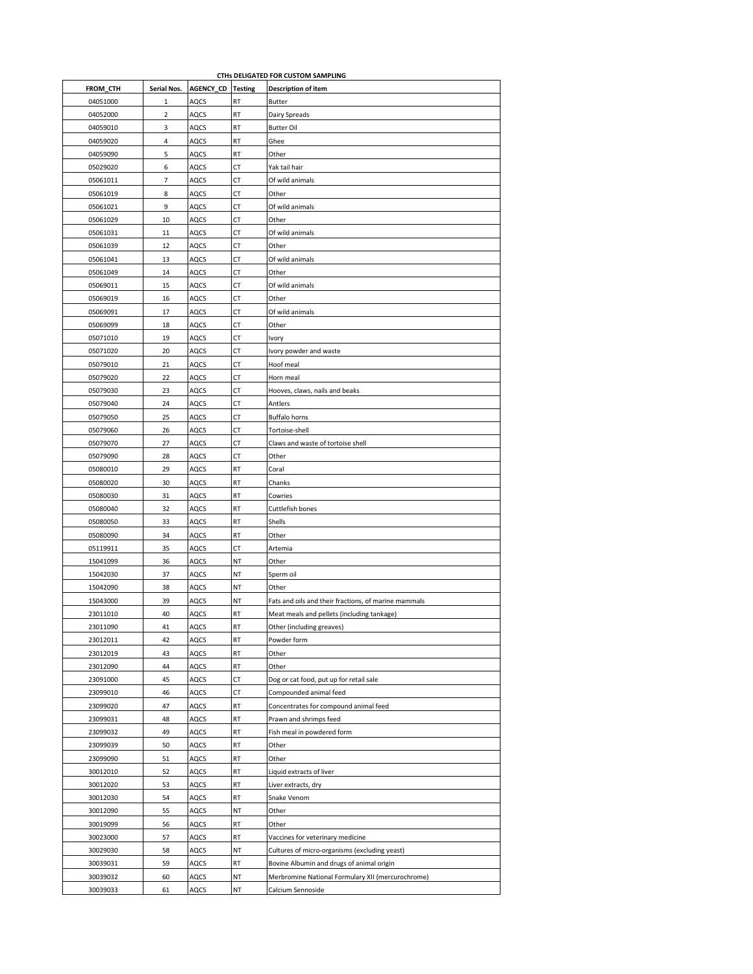| CTHs DELIGATED FOR CUSTOM SAMPLING |                |                  |                |                                                      |  |  |
|------------------------------------|----------------|------------------|----------------|------------------------------------------------------|--|--|
| FROM_CTH                           | Serial Nos.    | <b>AGENCY CD</b> | <b>Testing</b> | <b>Description of item</b>                           |  |  |
| 04051000                           | 1              | AQCS             | RT             | Butter                                               |  |  |
| 04052000                           | $\overline{2}$ | AQCS             | RT             | Dairy Spreads                                        |  |  |
| 04059010                           | 3              | AQCS             | RT             | <b>Butter Oil</b>                                    |  |  |
| 04059020                           | 4              | AQCS             | RT             | Ghee                                                 |  |  |
| 04059090                           | 5              | AQCS             | RT             | Other                                                |  |  |
| 05029020                           | 6              | AQCS             | СT             | Yak tail hair                                        |  |  |
| 05061011                           | 7              | AQCS             | СT             | Of wild animals                                      |  |  |
| 05061019                           | 8              | AQCS             | СT             | Other                                                |  |  |
| 05061021                           | 9              | AQCS             | СT             | Of wild animals                                      |  |  |
| 05061029                           | 10             | AQCS             | СT             | Other                                                |  |  |
| 05061031                           | 11             | AQCS             | СT             | Of wild animals                                      |  |  |
| 05061039                           | 12             | AQCS             | СT             | Other                                                |  |  |
| 05061041                           | 13             | AQCS             | СT             | Of wild animals                                      |  |  |
| 05061049                           | 14             | AQCS             | СT             | Other                                                |  |  |
| 05069011                           | 15             | AQCS             | СT             | Of wild animals                                      |  |  |
| 05069019                           | 16             | AQCS             | СT             | Other                                                |  |  |
| 05069091                           | 17             | AQCS             | СT             | Of wild animals                                      |  |  |
| 05069099                           | 18             | AQCS             | СT             | Other                                                |  |  |
| 05071010                           | 19             | AQCS             | СT             | Ivory                                                |  |  |
| 05071020                           | 20             | AQCS             | СT             | Ivory powder and waste                               |  |  |
| 05079010                           | 21             | AQCS             | СT             | Hoof meal                                            |  |  |
| 05079020                           | 22             | AQCS             | СT             | Horn meal                                            |  |  |
| 05079030                           | 23             | AQCS             | СT             | Hooves, claws, nails and beaks                       |  |  |
| 05079040                           | 24             | AQCS             | СT             | Antlers                                              |  |  |
| 05079050                           | 25             | AQCS             | СT             | Buffalo horns                                        |  |  |
| 05079060                           | 26             | AQCS             | СT             | Tortoise-shell                                       |  |  |
| 05079070                           | 27             | AQCS             | СT             | Claws and waste of tortoise shell                    |  |  |
| 05079090                           | 28             | AQCS             | СT             | Other                                                |  |  |
| 05080010                           | 29             | AQCS             | RT             | Coral                                                |  |  |
| 05080020                           | 30             | AQCS             | RT             | Chanks                                               |  |  |
| 05080030                           | 31             | AQCS             | RT             | Cowries                                              |  |  |
| 05080040                           | 32             | AQCS             | RT             | Cuttlefish bones                                     |  |  |
| 05080050                           | 33             | AQCS             | RT             | Shells                                               |  |  |
| 05080090                           | 34             | AQCS             | RT             | Other                                                |  |  |
| 05119911                           | 35             | AQCS             | СT             | Artemia                                              |  |  |
| 15041099                           | 36             | AQCS             | ΝT             | Other                                                |  |  |
| 15042030                           | 37             | AQCS             | ΝT             | Sperm oil                                            |  |  |
| 15042090                           | 38             | AQCS             | ΝT             | Other                                                |  |  |
| 15043000                           | 39             | AQCS             | NT             | Fats and oils and their fractions, of marine mammals |  |  |
| 23011010                           | 40             | AQCS             | RT             | Meat meals and pellets (including tankage)           |  |  |
| 23011090                           | 41             | AQCS             | RT             | Other (including greaves)                            |  |  |
| 23012011                           | 42             | AQCS             | RT             | Powder form                                          |  |  |
| 23012019                           | 43             | AQCS             | RT             | Other                                                |  |  |
| 23012090                           | 44             | AQCS             | RT             | Other                                                |  |  |
| 23091000                           | 45             | AQCS             | СT             | Dog or cat food, put up for retail sale              |  |  |
| 23099010                           | 46             | AQCS             | СT             | Compounded animal feed                               |  |  |
| 23099020                           | 47             | AQCS             | RT             | Concentrates for compound animal feed                |  |  |
|                                    |                |                  |                |                                                      |  |  |
| 23099031                           | 48             | AQCS             | RT             | Prawn and shrimps feed                               |  |  |
| 23099032                           | 49             | AQCS             | RT             | Fish meal in powdered form                           |  |  |
| 23099039                           | 50             | AQCS             | RT             | Other                                                |  |  |
| 23099090                           | 51             | AQCS             | RT             | Other                                                |  |  |
| 30012010                           | 52             | AQCS             | RT             | Liquid extracts of liver                             |  |  |
| 30012020                           | 53             | AQCS             | RT             | Liver extracts, dry                                  |  |  |
| 30012030                           | 54             | AQCS             | RT             | Snake Venom                                          |  |  |
| 30012090                           | 55             | AQCS             | NT             | Other                                                |  |  |
| 30019099                           | 56             | AQCS             | RT             | Other                                                |  |  |
| 30023000                           | 57             | AQCS             | RT             | Vaccines for veterinary medicine                     |  |  |
| 30029030                           | 58             | AQCS             | ΝT             | Cultures of micro-organisms (excluding yeast)        |  |  |
| 30039031                           | 59             | AQCS             | RT             | Bovine Albumin and drugs of animal origin            |  |  |
| 30039032                           | 60             | AQCS             | NT             | Merbromine National Formulary XII (mercurochrome)    |  |  |
| 30039033                           | 61             | AQCS             | ΝT             | Calcium Sennoside                                    |  |  |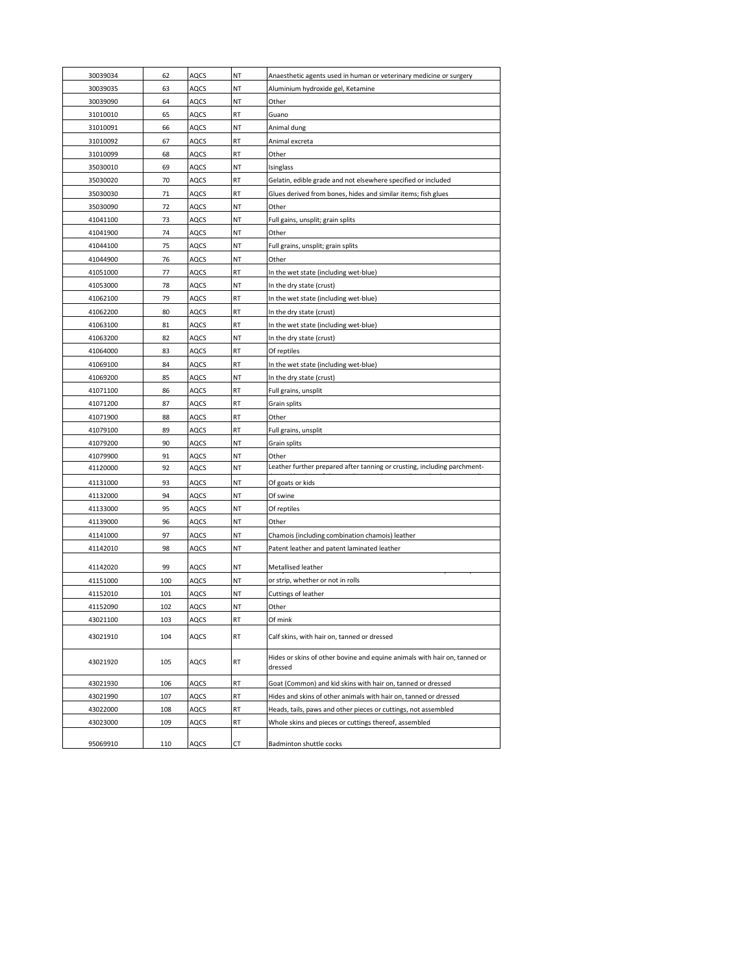| 30039034             | 62  | AQCS         | NT       | Anaesthetic agents used in human or veterinary medicine or surgery                             |  |
|----------------------|-----|--------------|----------|------------------------------------------------------------------------------------------------|--|
| 30039035             | 63  | AQCS         | NT       | Aluminium hydroxide gel, Ketamine                                                              |  |
| 30039090             | 64  | AQCS         | ΝT       | Other                                                                                          |  |
| 31010010             | 65  | AQCS         | RT       | Guano                                                                                          |  |
| 31010091             | 66  | AQCS         | ΝT       | Animal dung                                                                                    |  |
| 31010092             | 67  | AQCS         | RT       | Animal excreta                                                                                 |  |
| 31010099             | 68  | AQCS         | RT       | Other                                                                                          |  |
| 35030010             | 69  | AQCS         | ΝT       | Isinglass                                                                                      |  |
| 35030020             | 70  | AQCS         | RT       | Gelatin, edible grade and not elsewhere specified or included                                  |  |
| 35030030             | 71  | AQCS         | RT       | Glues derived from bones, hides and similar items; fish glues                                  |  |
| 35030090             | 72  | AQCS         | ΝT       | Other                                                                                          |  |
| 41041100             | 73  | AQCS         | ΝT       | Full gains, unsplit; grain splits                                                              |  |
| 41041900             | 74  | AQCS         | ΝT       | Other                                                                                          |  |
| 41044100             | 75  | AQCS         | NT       | Full grains, unsplit; grain splits                                                             |  |
| 41044900             | 76  | AQCS         | ΝT       | Other                                                                                          |  |
| 41051000             | 77  | AQCS         | RT       | In the wet state (including wet-blue)                                                          |  |
| 41053000             | 78  | AQCS         | ΝT       | In the dry state (crust)                                                                       |  |
| 41062100             | 79  | AQCS         | RT       | In the wet state (including wet-blue)                                                          |  |
| 41062200             | 80  | AQCS         | RT       | In the dry state (crust)                                                                       |  |
| 41063100             | 81  | AQCS         | RT       | In the wet state (including wet-blue)                                                          |  |
| 41063200             | 82  | AQCS         | NT       | In the dry state (crust)                                                                       |  |
| 41064000             | 83  | AQCS         | RT       | Of reptiles                                                                                    |  |
| 41069100             | 84  | AQCS         | RT       | In the wet state (including wet-blue)                                                          |  |
| 41069200             | 85  | AQCS         | ΝT       | In the dry state (crust)                                                                       |  |
| 41071100             | 86  | AQCS         | RT       | Full grains, unsplit                                                                           |  |
| 41071200             | 87  | AQCS         | RT       | Grain splits                                                                                   |  |
| 41071900             | 88  | AQCS         | RT       | Other                                                                                          |  |
| 41079100             | 89  | AQCS         | RT       | Full grains, unsplit                                                                           |  |
| 41079200             | 90  | AQCS         | ΝT       | Grain splits                                                                                   |  |
| 41079900             | 91  | AQCS         | NT       | Other                                                                                          |  |
| 41120000             | 92  | AQCS         | ΝT       | Leather further prepared after tanning or crusting, including parchment-                       |  |
| 41131000             | 93  | AQCS         | ΝT       | Of goats or kids                                                                               |  |
| 41132000             | 94  | AQCS         | ΝT       | Of swine                                                                                       |  |
| 41133000             | 95  | AQCS         | ΝT       | Of reptiles                                                                                    |  |
| 41139000             | 96  | AQCS         | ΝT       | Other                                                                                          |  |
|                      | 97  |              |          |                                                                                                |  |
| 41141000<br>41142010 | 98  | AQCS<br>AQCS | ΝT<br>ΝT | Chamois (including combination chamois) leather<br>Patent leather and patent laminated leather |  |
|                      |     |              |          |                                                                                                |  |
| 41142020             | 99  | AQCS         | ΝT       | Metallised leather                                                                             |  |
| 41151000             | 100 | AQCS         | ΝT       | or strip, whether or not in rolls                                                              |  |
| 41152010             | 101 | AQCS         | ΝT       | Cuttings of leather                                                                            |  |
| 41152090             | 102 | AQCS         | ΝT       | Other                                                                                          |  |
| 43021100             | 103 | AQCS         | RT       | Of mink                                                                                        |  |
| 43021910             | 104 | AQCS         | RT       | Calf skins, with hair on, tanned or dressed                                                    |  |
| 43021920             | 105 | AQCS         | RT       | Hides or skins of other bovine and equine animals with hair on, tanned or<br>dressed           |  |
| 43021930             | 106 | AQCS         | RT       | Goat (Common) and kid skins with hair on, tanned or dressed                                    |  |
| 43021990             | 107 | AQCS         | RT       | Hides and skins of other animals with hair on, tanned or dressed                               |  |
| 43022000             | 108 | AQCS         | RT       | Heads, tails, paws and other pieces or cuttings, not assembled                                 |  |
| 43023000             | 109 | AQCS         | RT       | Whole skins and pieces or cuttings thereof, assembled                                          |  |
|                      |     |              |          |                                                                                                |  |
| 95069910             | 110 | AQCS         | СT       | Badminton shuttle cocks                                                                        |  |